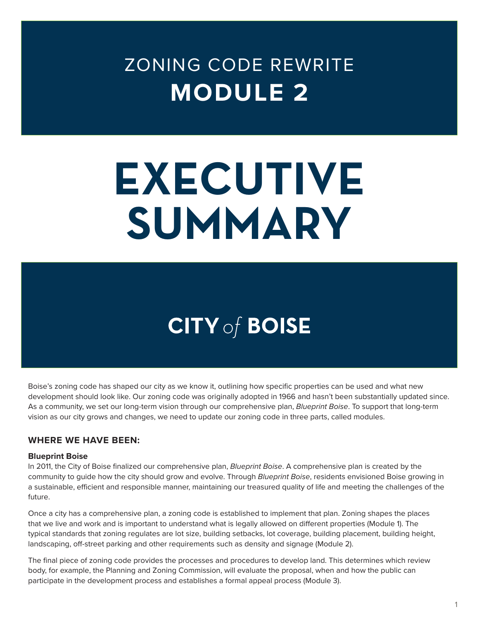# ZONING CODE REWRITE **MODULE 2**

# **EXECUTIVE SUMMARY**

# **CITY of BOISE**

Boise's zoning code has shaped our city as we know it, outlining how specific properties can be used and what new development should look like. Our zoning code was originally adopted in 1966 and hasn't been substantially updated since. As a community, we set our long-term vision through our comprehensive plan, *Blueprint Boise*. To support that long-term vision as our city grows and changes, we need to update our zoning code in three parts, called modules.

#### **WHERE WE HAVE BEEN:**

#### **Blueprint Boise**

In 2011, the City of Boise finalized our comprehensive plan, *Blueprint Boise*. A comprehensive plan is created by the community to guide how the city should grow and evolve. Through *Blueprint Boise*, residents envisioned Boise growing in a sustainable, efficient and responsible manner, maintaining our treasured quality of life and meeting the challenges of the future.

Once a city has a comprehensive plan, a zoning code is established to implement that plan. Zoning shapes the places that we live and work and is important to understand what is legally allowed on different properties (Module 1). The typical standards that zoning regulates are lot size, building setbacks, lot coverage, building placement, building height, landscaping, off-street parking and other requirements such as density and signage (Module 2).

The final piece of zoning code provides the processes and procedures to develop land. This determines which review body, for example, the Planning and Zoning Commission, will evaluate the proposal, when and how the public can participate in the development process and establishes a formal appeal process (Module 3).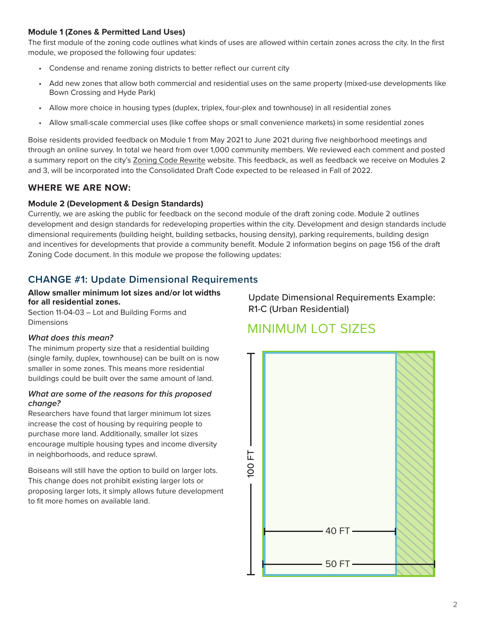#### **Module 1 (Zones & Permitted Land Uses)**

The first module of the zoning code outlines what kinds of uses are allowed within certain zones across the city. In the first module, we proposed the following four updates:

- Condense and rename zoning districts to better reflect our current city
- Add new zones that allow both commercial and residential uses on the same property (mixed-use developments like Bown Crossing and Hyde Park)
- Allow more choice in housing types (duplex, triplex, four-plex and townhouse) in all residential zones
- Allow small-scale commercial uses (like coffee shops or small convenience markets) in some residential zones

Boise residents provided feedback on Module 1 from May 2021 to June 2021 during five neighborhood meetings and through an online survey. In total we heard from over 1,000 community members. We reviewed each comment and posted a summary report on the city's [Zoning Code Rewrite](https://www.cityofboise.org/departments/planning-and-development-services/planning-and-zoning/zoning-code-rewrite/) website. This feedback, as well as feedback we receive on Modules 2 and 3, will be incorporated into the Consolidated Draft Code expected to be released in Fall of 2022.

#### **WHERE WE ARE NOW:**

#### **Module 2 (Development & Design Standards)**

Currently, we are asking the public for feedback on the second module of the draft zoning code. Module 2 outlines development and design standards for redeveloping properties within the city. Development and design standards include dimensional requirements (building height, building setbacks, housing density), parking requirements, building design and incentives for developments that provide a community benefit. Module 2 information begins on page 156 of the draft Zoning Code document. In this module we propose the following updates:

#### **CHANGE #1: Update Dimensional Requirements**

#### **Allow smaller minimum lot sizes and/or lot widths for all residential zones.**

Section 11-04-03 – Lot and Building Forms and Dimensions

#### *What does this mean?*

The minimum property size that a residential building (single family, duplex, townhouse) can be built on is now smaller in some zones. This means more residential buildings could be built over the same amount of land.

#### *What are some of the reasons for this proposed change?*

Researchers have found that larger minimum lot sizes increase the cost of housing by requiring people to purchase more land. Additionally, smaller lot sizes encourage multiple housing types and income diversity in neighborhoods, and reduce sprawl.

Boiseans will still have the option to build on larger lots. This change does not prohibit existing larger lots or proposing larger lots, it simply allows future development to fit more homes on available land.

Update Dimensional Requirements Example: R1-C (Urban Residential)

# MINIMUM LOT SIZES

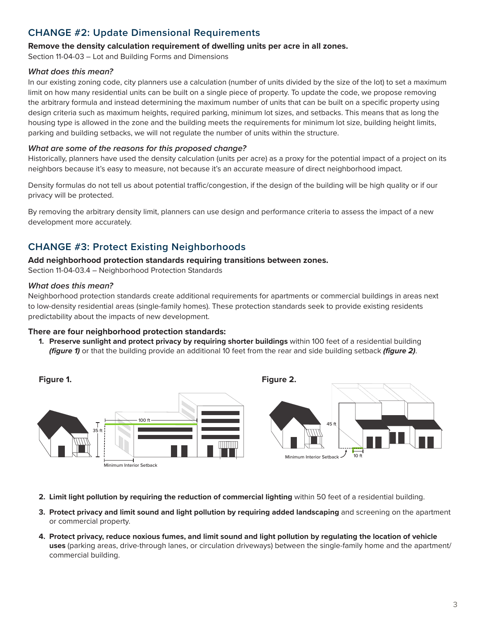# **CHANGE #2: Update Dimensional Requirements**

#### **Remove the density calculation requirement of dwelling units per acre in all zones.**

Section 11-04-03 – Lot and Building Forms and Dimensions

#### *What does this mean?*

In our existing zoning code, city planners use a calculation (number of units divided by the size of the lot) to set a maximum limit on how many residential units can be built on a single piece of property. To update the code, we propose removing the arbitrary formula and instead determining the maximum number of units that can be built on a specific property using design criteria such as maximum heights, required parking, minimum lot sizes, and setbacks. This means that as long the housing type is allowed in the zone and the building meets the requirements for minimum lot size, building height limits, parking and building setbacks, we will not regulate the number of units within the structure.

#### *What are some of the reasons for this proposed change?*

Historically, planners have used the density calculation (units per acre) as a proxy for the potential impact of a project on its neighbors because it's easy to measure, not because it's an accurate measure of direct neighborhood impact.

Density formulas do not tell us about potential traffic/congestion, if the design of the building will be high quality or if our privacy will be protected.

By removing the arbitrary density limit, planners can use design and performance criteria to assess the impact of a new development more accurately.

# **CHANGE #3: Protect Existing Neighborhoods**

#### **Add neighborhood protection standards requiring transitions between zones.**

Section 11-04-03.4 – Neighborhood Protection Standards

#### *What does this mean?*

Neighborhood protection standards create additional requirements for apartments or commercial buildings in areas next to low-density residential areas (single-family homes). These protection standards seek to provide existing residents predictability about the impacts of new development.

#### **There are four neighborhood protection standards:**

**1. Preserve sunlight and protect privacy by requiring shorter buildings** within 100 feet of a residential building *(figure 1)* or that the building provide an additional 10 feet from the rear and side building setback *(figure 2)*.



- **2. Limit light pollution by requiring the reduction of commercial lighting** within 50 feet of a residential building.
- **3. Protect privacy and limit sound and light pollution by requiring added landscaping** and screening on the apartment or commercial property.
- **4. Protect privacy, reduce noxious fumes, and limit sound and light pollution by regulating the location of vehicle uses** (parking areas, drive-through lanes, or circulation driveways) between the single-family home and the apartment/ commercial building.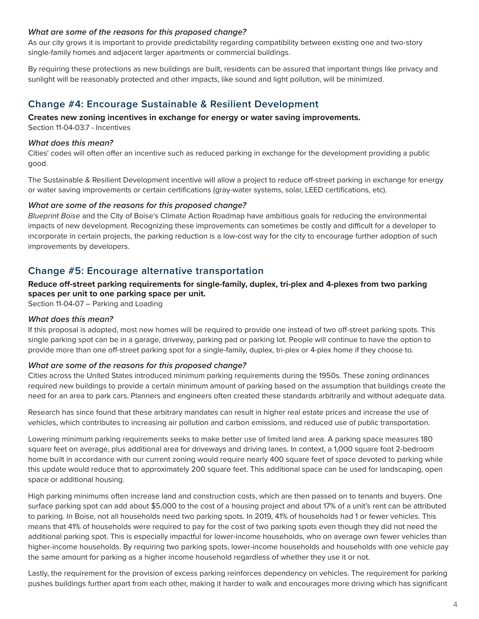#### *What are some of the reasons for this proposed change?*

As our city grows it is important to provide predictability regarding compatibility between existing one and two-story single-family homes and adjacent larger apartments or commercial buildings.

By requiring these protections as new buildings are built, residents can be assured that important things like privacy and sunlight will be reasonably protected and other impacts, like sound and light pollution, will be minimized.

## **Change #4: Encourage Sustainable & Resilient Development**

#### **Creates new zoning incentives in exchange for energy or water saving improvements.**

Section 11-04-03.7 - Incentives

#### *What does this mean?*

Cities' codes will often offer an incentive such as reduced parking in exchange for the development providing a public good.

The Sustainable & Resilient Development incentive will allow a project to reduce off-street parking in exchange for energy or water saving improvements or certain certifications (gray-water systems, solar, LEED certifications, etc).

#### *What are some of the reasons for this proposed change?*

*Blueprint Boise* and the City of Boise's Climate Action Roadmap have ambitious goals for reducing the environmental impacts of new development. Recognizing these improvements can sometimes be costly and difficult for a developer to incorporate in certain projects, the parking reduction is a low-cost way for the city to encourage further adoption of such improvements by developers.

## **Change #5: Encourage alternative transportation**

#### **Reduce off-street parking requirements for single-family, duplex, tri-plex and 4-plexes from two parking spaces per unit to one parking space per unit.**

Section 11-04-07 – Parking and Loading

#### *What does this mean?*

If this proposal is adopted, most new homes will be required to provide one instead of two off-street parking spots. This single parking spot can be in a garage, driveway, parking pad or parking lot. People will continue to have the option to provide more than one off-street parking spot for a single-family, duplex, tri-plex or 4-plex home if they choose to.

#### *What are some of the reasons for this proposed change?*

Cities across the United States introduced minimum parking requirements during the 1950s. These zoning ordinances required new buildings to provide a certain minimum amount of parking based on the assumption that buildings create the need for an area to park cars. Planners and engineers often created these standards arbitrarily and without adequate data.

Research has since found that these arbitrary mandates can result in higher real estate prices and increase the use of vehicles, which contributes to increasing air pollution and carbon emissions, and reduced use of public transportation.

Lowering minimum parking requirements seeks to make better use of limited land area. A parking space measures 180 square feet on average, plus additional area for driveways and driving lanes. In context, a 1,000 square foot 2-bedroom home built in accordance with our current zoning would require nearly 400 square feet of space devoted to parking while this update would reduce that to approximately 200 square feet. This additional space can be used for landscaping, open space or additional housing.

High parking minimums often increase land and construction costs, which are then passed on to tenants and buyers. One surface parking spot can add about \$5,000 to the cost of a housing project and about 17% of a unit's rent can be attributed to parking. In Boise, not all households need two parking spots. In 2019, 41% of households had 1 or fewer vehicles. This means that 41% of households were required to pay for the cost of two parking spots even though they did not need the additional parking spot. This is especially impactful for lower-income households, who on average own fewer vehicles than higher-income households. By requiring two parking spots, lower-income households and households with one vehicle pay the same amount for parking as a higher income household regardless of whether they use it or not.

Lastly, the requirement for the provision of excess parking reinforces dependency on vehicles. The requirement for parking pushes buildings further apart from each other, making it harder to walk and encourages more driving which has significant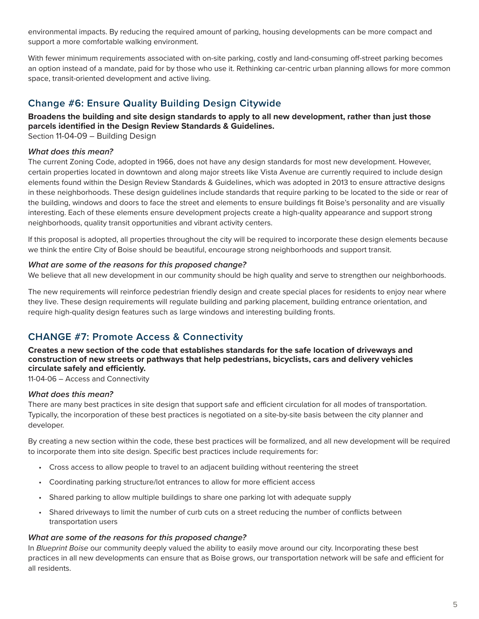environmental impacts. By reducing the required amount of parking, housing developments can be more compact and support a more comfortable walking environment.

With fewer minimum requirements associated with on-site parking, costly and land-consuming off-street parking becomes an option instead of a mandate, paid for by those who use it. Rethinking car-centric urban planning allows for more common space, transit-oriented development and active living.

# **Change #6: Ensure Quality Building Design Citywide**

**Broadens the building and site design standards to apply to all new development, rather than just those parcels identified in the Design Review Standards & Guidelines.**

Section 11-04-09 – Building Design

#### *What does this mean?*

The current Zoning Code, adopted in 1966, does not have any design standards for most new development. However, certain properties located in downtown and along major streets like Vista Avenue are currently required to include design elements found within the Design Review Standards & Guidelines, which was adopted in 2013 to ensure attractive designs in these neighborhoods. These design guidelines include standards that require parking to be located to the side or rear of the building, windows and doors to face the street and elements to ensure buildings fit Boise's personality and are visually interesting. Each of these elements ensure development projects create a high-quality appearance and support strong neighborhoods, quality transit opportunities and vibrant activity centers.

If this proposal is adopted, all properties throughout the city will be required to incorporate these design elements because we think the entire City of Boise should be beautiful, encourage strong neighborhoods and support transit.

#### *What are some of the reasons for this proposed change?*

We believe that all new development in our community should be high quality and serve to strengthen our neighborhoods.

The new requirements will reinforce pedestrian friendly design and create special places for residents to enjoy near where they live. These design requirements will regulate building and parking placement, building entrance orientation, and require high-quality design features such as large windows and interesting building fronts.

# **CHANGE #7: Promote Access & Connectivity**

**Creates a new section of the code that establishes standards for the safe location of driveways and construction of new streets or pathways that help pedestrians, bicyclists, cars and delivery vehicles circulate safely and efficiently.** 

11-04-06 – Access and Connectivity

#### *What does this mean?*

There are many best practices in site design that support safe and efficient circulation for all modes of transportation. Typically, the incorporation of these best practices is negotiated on a site-by-site basis between the city planner and developer.

By creating a new section within the code, these best practices will be formalized, and all new development will be required to incorporate them into site design. Specific best practices include requirements for:

- Cross access to allow people to travel to an adjacent building without reentering the street
- Coordinating parking structure/lot entrances to allow for more efficient access
- Shared parking to allow multiple buildings to share one parking lot with adequate supply
- Shared driveways to limit the number of curb cuts on a street reducing the number of conflicts between transportation users

#### *What are some of the reasons for this proposed change?*

In *Blueprint Boise* our community deeply valued the ability to easily move around our city. Incorporating these best practices in all new developments can ensure that as Boise grows, our transportation network will be safe and efficient for all residents.